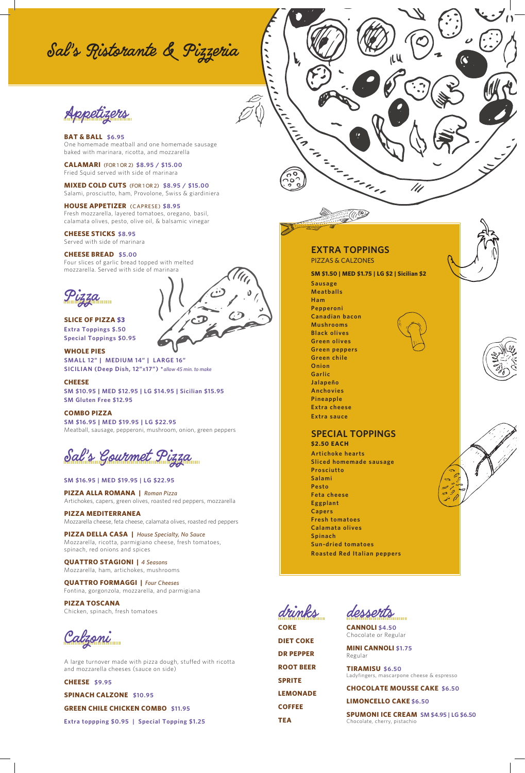Sal 's Ristorante & Pizzeria

Appetizers

**BAT & BALL** \$6.95 One homemade meatball and one homemade sausage baked with marinara, ricotta, and mozzarella

**CALAMARI** (FOR 1 OR 2) **\$8.95 / \$15.00** Fried Squid served with side of marinara

**MIXED COLD CUTS** (FOR 1 OR 2) \$8.95 / \$15.00 Salami, prosciutto, ham, Provolone, Swiss & giardiniera

**HOUSE APPETIZER** (CAPRESE) **\$8.95** Fresh mozzarella, layered tomatoes, oregano, basil, calamata olives, pesto, olive oil, & balsamic vinegar

## **CHEESE STICKS \$8.95** Served with side of marinara

# **CHEESE BREAD \$5.00**

Four slices of garlic bread topped with melted mozzarella. Served with side of marinara

.<br>ZZQ

**SLICE OF PIZZA \$3 Extra Toppings \$.50 Special Toppings \$0.95**

**WHOLE PIES SMALL 12" | MEDIUM 14" | LARGE 16" SICILIAN (Deep Dish, 12"x17") \****allow 45 min. to make*

**CHEESE**

**SM \$10.95 | MED \$12.95 | LG \$14.95 | Sicilian \$15.95 SM Gluten Free \$12.95**

## **COMBO PIZZA**

**SM \$16.95 | MED \$19.95 | LG \$22.95** Meatball, sausage, pepperoni, mushroom, onion, green peppers

Sal's Gourmet Pizza

**SM \$16.95 | MED \$19.95 | LG \$22.95**

**PIZZA ALLA ROMANA |** *Roman Pizza* Artichokes, capers, green olives, roasted red peppers, mozzarella

**PIZZA MEDITERRANEA** Mozzarella cheese, feta cheese, calamata olives, roasted red peppers

**PIZZA DELLA CASA |** *House Specialty, No Sauce* Mozzarella, ricotta, parmigiano cheese, fresh tomatoes, spinach, red onions and spices

**QUATTRO STAGIONI |** *4 Seasons* Mozzarella, ham, artichokes, mushrooms

**QUATTRO FORMAGGI |** *Four Cheeses* Fontina, gorgonzola, mozzarella, and parmigiana

**PIZZA TOSCANA** Chicken, spinach, fresh tomatoes

Calzoni

A large turnover made with pizza dough, stuffed with ricotta and mozzarella cheeses (sauce on side)

**CHEESE \$9.95**

**SPINACH CALZONE \$10.95**

**GREEN CHILE CHICKEN COMBO \$11.95**

**Extra toppping \$0.95 | Special Topping \$1.25**

 $\ddot{\phantom{0}}$ 

**Ham Pepperoni Canadian bacon Mushrooms Black olives Green olives Green peppers Green chile Onion Garlic Jalapeño Anchovies Pineapple Extra cheese Extra sauce**

**Sausage Meatballs**

**EXTRA TOPPINGS**  PIZZAS & CALZONES

**SM \$1.50 | MED \$1.75 | LG \$2 | Sicilian \$2**

in a shine

///

# **SPECIAL TOPPINGS \$2.50 EACH**

**Artichoke hearts Sliced homemade sausage Prosciutto Salami Pesto Feta cheese Eggplant Capers Fresh tomatoes Calamata olives**

**Spinach Sun-dried tomatoes Roasted Red Italian peppers**

drinks **COKE**

**DIET COKE DR PEPPER ROOT BEER SPRITE LEMONADE COFFEE TEA**

desserts

**CANNOLI \$4.50** Chocolate or Regular

**MINI CANNOLI \$1.75** Regular

**TIRAMISU \$6.50** Ladyfingers, mascarpone cheese & espresso

**CHOCOLATE MOUSSE CAKE \$6.50** 

**LIMONCELLO CAKE \$6.50**

**SPUMONI ICE CREAM SM \$4.95 | LG \$6.50** Chocolate, cherry, pistachio